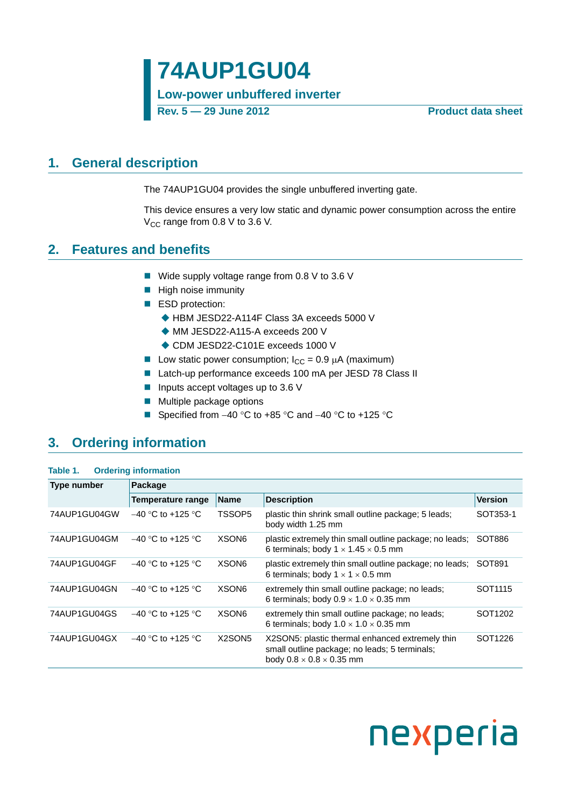**Low-power unbuffered inverter**

**Rev. 5 — 29 June 2012 Product data sheet**

### <span id="page-0-0"></span>**1. General description**

The 74AUP1GU04 provides the single unbuffered inverting gate.

This device ensures a very low static and dynamic power consumption across the entire  $V_{\text{CC}}$  range from 0.8 V to 3.6 V.

### <span id="page-0-1"></span>**2. Features and benefits**

- Wide supply voltage range from 0.8 V to 3.6 V
- $\blacksquare$  High noise immunity
- ESD protection:
	- ◆ HBM JESD22-A114F Class 3A exceeds 5000 V
	- ◆ MM JESD22-A115-A exceeds 200 V
	- ◆ CDM JESD22-C101E exceeds 1000 V
- Low static power consumption;  $I_{CC} = 0.9 \mu A$  (maximum)
- Latch-up performance exceeds 100 mA per JESD 78 Class II
- **Inputs accept voltages up to 3.6 V**
- **Multiple package options**
- Specified from  $-40$  °C to  $+85$  °C and  $-40$  °C to  $+125$  °C

### <span id="page-0-2"></span>**3. Ordering information**

| Table 1.     | <b>Ordering information</b> |                                 |                                                                                                                                          |                     |  |  |  |  |
|--------------|-----------------------------|---------------------------------|------------------------------------------------------------------------------------------------------------------------------------------|---------------------|--|--|--|--|
| Type number  | Package                     |                                 |                                                                                                                                          |                     |  |  |  |  |
|              | Temperature range           | <b>Name</b>                     | <b>Description</b>                                                                                                                       | <b>Version</b>      |  |  |  |  |
| 74AUP1GU04GW | $-40$ °C to +125 °C         | TSSOP5                          | plastic thin shrink small outline package; 5 leads;<br>body width 1.25 mm                                                                | SOT353-1            |  |  |  |  |
| 74AUP1GU04GM | $-40$ °C to +125 °C         | XSON6                           | plastic extremely thin small outline package; no leads;<br>6 terminals; body $1 \times 1.45 \times 0.5$ mm                               | SOT886              |  |  |  |  |
| 74AUP1GU04GF | $-40$ °C to +125 °C         | XSON <sub>6</sub>               | plastic extremely thin small outline package; no leads;<br>6 terminals; body $1 \times 1 \times 0.5$ mm                                  | SOT891              |  |  |  |  |
| 74AUP1GU04GN | $-40$ °C to +125 °C         | XSON <sub>6</sub>               | extremely thin small outline package; no leads;<br>6 terminals; body $0.9 \times 1.0 \times 0.35$ mm                                     | SOT <sub>1115</sub> |  |  |  |  |
| 74AUP1GU04GS | $-40$ °C to +125 °C         | XSON <sub>6</sub>               | extremely thin small outline package; no leads;<br>6 terminals; body $1.0 \times 1.0 \times 0.35$ mm                                     | SOT <sub>1202</sub> |  |  |  |  |
| 74AUP1GU04GX | $-40$ °C to +125 °C         | X <sub>2</sub> SON <sub>5</sub> | X2SON5: plastic thermal enhanced extremely thin<br>small outline package; no leads; 5 terminals;<br>body $0.8 \times 0.8 \times 0.35$ mm | SOT <sub>1226</sub> |  |  |  |  |

# nexperia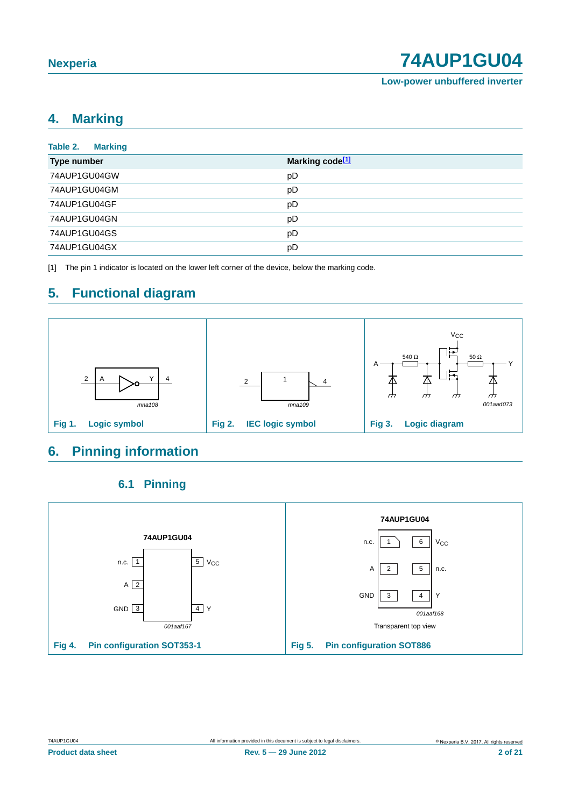**Low-power unbuffered inverter**

### <span id="page-1-1"></span>**4. Marking**

| Table 2.<br><b>Marking</b> |                             |
|----------------------------|-----------------------------|
| Type number                | Marking code <sup>[1]</sup> |
| 74AUP1GU04GW               | pD                          |
| 74AUP1GU04GM               | pD                          |
| 74AUP1GU04GF               | pD                          |
| 74AUP1GU04GN               | pD                          |
| 74AUP1GU04GS               | pD                          |
| 74AUP1GU04GX               | pD                          |

<span id="page-1-0"></span>[1] The pin 1 indicator is located on the lower left corner of the device, below the marking code.

# <span id="page-1-2"></span>**5. Functional diagram**



### <span id="page-1-3"></span>**6. Pinning information**

### **6.1 Pinning**

<span id="page-1-4"></span>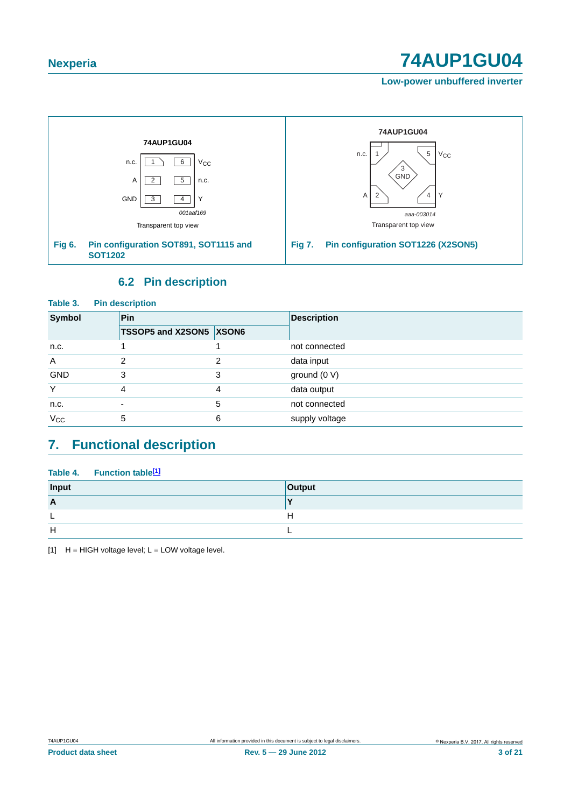**Low-power unbuffered inverter**



### **6.2 Pin description**

<span id="page-2-1"></span>

| Table 3.<br><b>Pin description</b> |                         |   |                    |  |  |  |  |  |
|------------------------------------|-------------------------|---|--------------------|--|--|--|--|--|
| Symbol                             | Pin                     |   | <b>Description</b> |  |  |  |  |  |
|                                    | TSSOP5 and X2SON5 XSON6 |   |                    |  |  |  |  |  |
| n.c.                               |                         |   | not connected      |  |  |  |  |  |
| $\overline{A}$                     | 2                       | າ | data input         |  |  |  |  |  |
| <b>GND</b>                         | 3                       | 3 | ground (0 V)       |  |  |  |  |  |
| Y                                  | 4                       | 4 | data output        |  |  |  |  |  |
| n.c.                               |                         | 5 | not connected      |  |  |  |  |  |
| $V_{CC}$                           | 5                       | 6 | supply voltage     |  |  |  |  |  |

### <span id="page-2-2"></span>**7. Functional description**

### Table 4. Function table<sup>[1]</sup>

| Input        | Output |
|--------------|--------|
| $\mathsf{A}$ |        |
|              |        |
| H            |        |

<span id="page-2-0"></span> $[1]$  H = HIGH voltage level; L = LOW voltage level.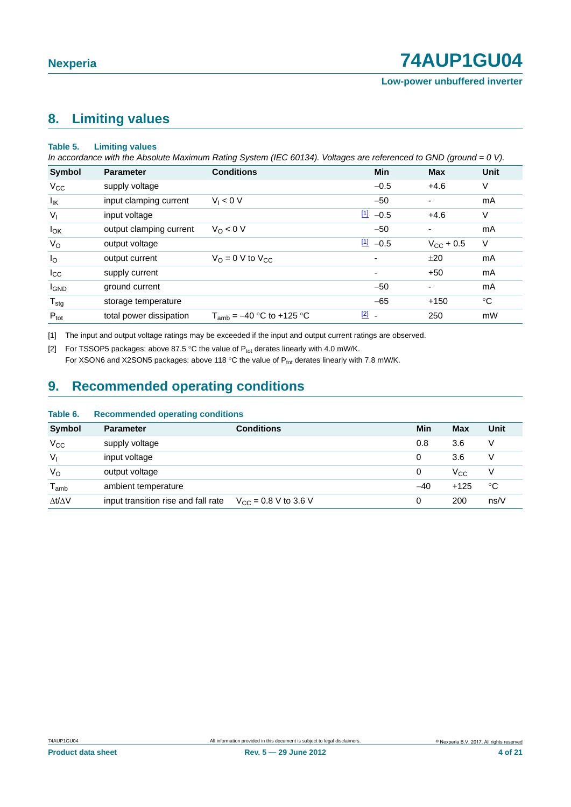### <span id="page-3-2"></span>**8. Limiting values**

#### **Table 5. Limiting values**

*In accordance with the Absolute Maximum Rating System (IEC 60134). Voltages are referenced to GND (ground = 0 V).*

| Symbol           | <b>Parameter</b>        | <b>Conditions</b>                  | <b>Min</b>               | <b>Max</b>               | <b>Unit</b>  |
|------------------|-------------------------|------------------------------------|--------------------------|--------------------------|--------------|
| $V_{\rm CC}$     | supply voltage          |                                    | $-0.5$                   | $+4.6$                   | V            |
| lικ              | input clamping current  | $V_1 < 0 V$                        | $-50$                    |                          | mA           |
| $V_{I}$          | input voltage           |                                    | $11 - 0.5$               | $+4.6$                   | V            |
| $I_{OK}$         | output clamping current | $V_0 < 0 V$                        | $-50$                    | $\blacksquare$           | mA           |
| $V_{\rm O}$      | output voltage          |                                    | $11 - 0.5$               | $V_{CC}$ + 0.5           | V            |
| $I_{\rm O}$      | output current          | $V_{\Omega} = 0$ V to $V_{\Omega}$ | $\overline{\phantom{a}}$ | ±20                      | mA           |
| $I_{\rm CC}$     | supply current          |                                    | $\overline{\phantom{a}}$ | $+50$                    | mA           |
| <b>I</b> GND     | ground current          |                                    | $-50$                    | $\overline{\phantom{a}}$ | mA           |
| $T_{\text{stg}}$ | storage temperature     |                                    | $-65$                    | $+150$                   | $^{\circ}$ C |
| $P_{\text{tot}}$ | total power dissipation | $T_{amb} = -40$ °C to +125 °C      | $\boxed{2}$ -            | 250                      | mW           |

<span id="page-3-0"></span>[1] The input and output voltage ratings may be exceeded if the input and output current ratings are observed.

<span id="page-3-1"></span>[2] For TSSOP5 packages: above 87.5 °C the value of  $P_{tot}$  derates linearly with 4.0 mW/K.

For XSON6 and X2SON5 packages: above 118 °C the value of  $P_{tot}$  derates linearly with 7.8 mW/K.

### <span id="page-3-3"></span>**9. Recommended operating conditions**

| IMMIV VI            | <b>TOOOTHING INCORPORATING CONTRACTIO</b> |                           |       |              |             |
|---------------------|-------------------------------------------|---------------------------|-------|--------------|-------------|
| <b>Symbol</b>       | <b>Parameter</b>                          | <b>Conditions</b>         | Min   | <b>Max</b>   | <b>Unit</b> |
| $V_{\rm CC}$        | supply voltage                            |                           | 0.8   | 3.6          | V           |
| $V_{1}$             | input voltage                             |                           | 0     | 3.6          | V           |
| $V_{\rm O}$         | output voltage                            |                           | 0     | $V_{\rm CC}$ | V           |
| $T_{\mathsf{amb}}$  | ambient temperature                       |                           | $-40$ | $+125$       | ℃           |
| $\Delta t/\Delta V$ | input transition rise and fall rate       | $V_{CC}$ = 0.8 V to 3.6 V | 0     | 200          | ns/V        |

#### **Table 6. Recommended operating conditions**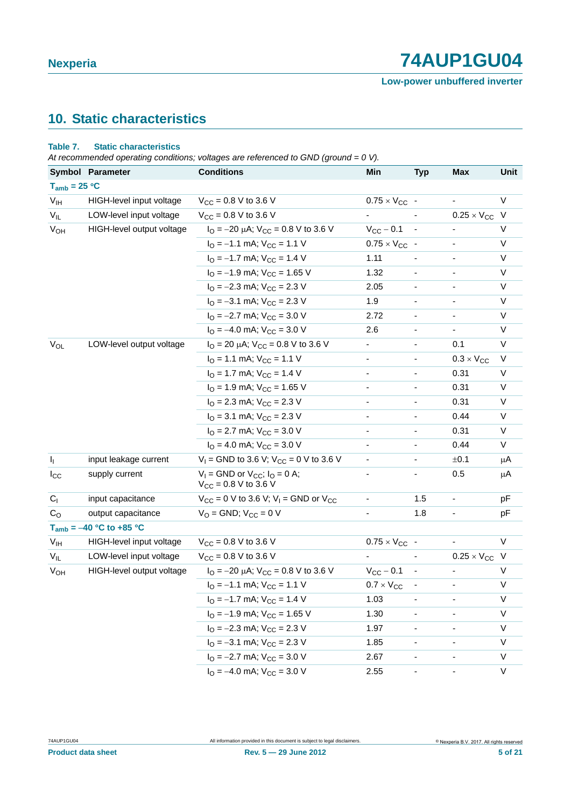# <span id="page-4-0"></span>**10. Static characteristics**

#### **Table 7. Static characteristics**

*At recommended operating conditions; voltages are referenced to GND (ground = 0 V).*

|                       | Symbol Parameter             | <b>Conditions</b>                                                           | Min                          | <b>Typ</b>               | <b>Max</b>           | Unit    |
|-----------------------|------------------------------|-----------------------------------------------------------------------------|------------------------------|--------------------------|----------------------|---------|
| $T_{amb} = 25 °C$     |                              |                                                                             |                              |                          |                      |         |
| V <sub>IH</sub>       | HIGH-level input voltage     | $V_{CC} = 0.8 V$ to 3.6 V                                                   | $0.75 \times V_{CC}$ -       |                          |                      | V       |
| $V_{IL}$              | LOW-level input voltage      | $V_{CC} = 0.8 V$ to 3.6 V                                                   |                              |                          | $0.25 \times V_{CC}$ | - V     |
| <b>V<sub>OH</sub></b> | HIGH-level output voltage    | $I_{\text{O}} = -20 \mu\text{A}$ ; $V_{\text{CC}} = 0.8 \text{ V}$ to 3.6 V | $V_{CC}$ - 0.1               | $\overline{\phantom{a}}$ |                      | V       |
|                       |                              | $IO = -1.1$ mA; $VCC = 1.1$ V                                               | $0.75 \times V_{CC}$ -       |                          |                      | V       |
|                       |                              | $IO = -1.7$ mA; $VCC = 1.4$ V                                               | 1.11                         |                          |                      | V       |
|                       |                              | $IO = -1.9$ mA; $VCC = 1.65$ V                                              | 1.32                         |                          |                      | V       |
|                       |                              | $IO = -2.3$ mA; $VCC = 2.3$ V                                               | 2.05                         |                          |                      | V       |
|                       |                              | $IO = -3.1$ mA; $VCC = 2.3$ V                                               | 1.9                          |                          |                      | V       |
|                       |                              | $IO = -2.7$ mA; $VCC = 3.0$ V                                               | 2.72                         | $\overline{\phantom{a}}$ |                      | V       |
|                       |                              | $IO = -4.0$ mA; $VCC = 3.0$ V                                               | 2.6                          |                          |                      | $\vee$  |
| $V_{OL}$              | LOW-level output voltage     | $I_{\text{O}}$ = 20 $\mu$ A; V <sub>CC</sub> = 0.8 V to 3.6 V               | -                            |                          | 0.1                  | V       |
|                       |                              | $IO = 1.1$ mA; $VCC = 1.1$ V                                                | $\overline{\phantom{0}}$     |                          | $0.3 \times V_{CC}$  | V       |
|                       |                              | $IO = 1.7$ mA; $VCC = 1.4$ V                                                | $\qquad \qquad \blacksquare$ | $\overline{\phantom{a}}$ | 0.31                 | V       |
|                       |                              | $IO$ = 1.9 mA; $VCC$ = 1.65 V                                               |                              |                          | 0.31                 | V       |
|                       |                              | $IO = 2.3$ mA; $VCC = 2.3$ V                                                | ۰                            |                          | 0.31                 | V       |
|                       |                              | $IO$ = 3.1 mA; $VCC$ = 2.3 V                                                | -                            |                          | 0.44                 | V       |
|                       |                              | $IO = 2.7$ mA; $VCC = 3.0$ V                                                | -                            |                          | 0.31                 | V       |
|                       |                              | $IO = 4.0$ mA; $VCC = 3.0$ V                                                |                              |                          | 0.44                 | V       |
| $I_{\parallel}$       | input leakage current        | $V_1$ = GND to 3.6 V; $V_{CC}$ = 0 V to 3.6 V                               | $\overline{\phantom{0}}$     |                          | ±0.1                 | μA      |
| $I_{\rm CC}$          | supply current               | $V_1$ = GND or $V_{CC}$ ; $I_Q$ = 0 A;<br>$V_{CC}$ = 0.8 V to 3.6 V         | $\qquad \qquad \blacksquare$ |                          | 0.5                  | μA      |
| $C_{1}$               | input capacitance            | $V_{CC}$ = 0 V to 3.6 V; V <sub>1</sub> = GND or V <sub>CC</sub>            | $\qquad \qquad \blacksquare$ | 1.5                      | -                    | pF      |
| C <sub>O</sub>        | output capacitance           | $V_{O}$ = GND; $V_{CC}$ = 0 V                                               |                              | 1.8                      |                      | pF      |
|                       | $T_{amb} = -40 °C$ to +85 °C |                                                                             |                              |                          |                      |         |
| $V_{IH}$              | HIGH-level input voltage     | $V_{CC}$ = 0.8 V to 3.6 V                                                   | $0.75 \times V_{CC}$ -       |                          |                      | V       |
| $V_{IL}$              | LOW-level input voltage      | $V_{CC}$ = 0.8 V to 3.6 V                                                   |                              |                          | $0.25 \times V_{CC}$ | $\vee$  |
| $V_{OH}$              | HIGH-level output voltage    | $I_{\text{O}} = -20 \mu\text{A}$ ; $V_{\text{CC}} = 0.8 \text{ V}$ to 3.6 V | $V_{CC} - 0.1$               | $\overline{\phantom{a}}$ |                      | $\vee$  |
|                       |                              | $I_{\text{O}} = -1.1$ mA; $V_{\text{CC}} = 1.1$ V                           | $0.7 \times V_{CC}$          | -                        |                      | $\sf V$ |
|                       |                              | $IO = -1.7$ mA; $VCC = 1.4$ V                                               | 1.03                         |                          |                      | V       |
|                       |                              | $IO = -1.9$ mA; $VCC = 1.65$ V                                              | 1.30                         |                          |                      | V       |
|                       |                              | $IO = -2.3$ mA; $VCC = 2.3$ V                                               | 1.97                         |                          |                      | V       |
|                       |                              | $IO = -3.1$ mA; $VCC = 2.3$ V                                               | 1.85                         | ٠                        |                      | V       |
|                       |                              | $IO = -2.7$ mA; $VCC = 3.0$ V                                               | 2.67                         | ۰                        |                      | V       |
|                       |                              | $IO = -4.0$ mA; $VCC = 3.0$ V                                               | 2.55                         | ۰                        |                      | V       |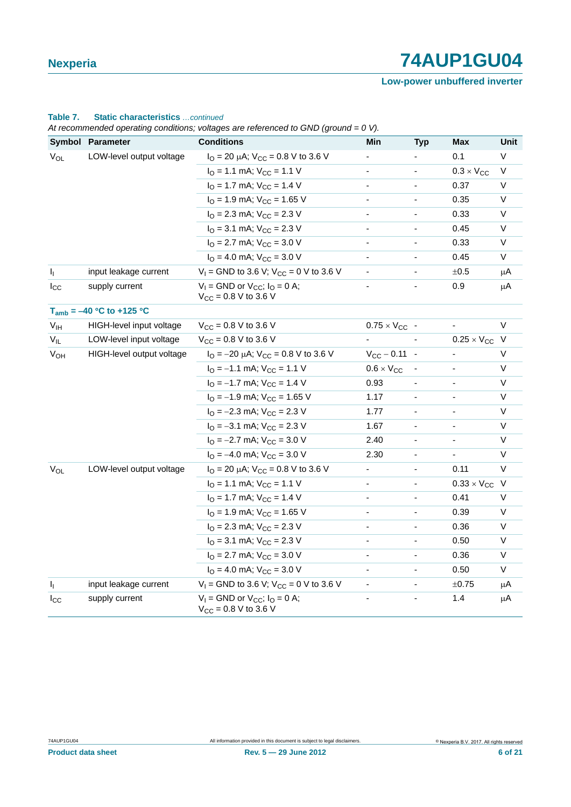**Low-power unbuffered inverter**

| Table 7. | <b>Static characteristics</b> continued |  |
|----------|-----------------------------------------|--|

*At recommended operating conditions; voltages are referenced to GND (ground = 0 V).*

|                 | Symbol Parameter              | <b>Conditions</b>                                                                  | $\cdot$ , $\cdot$<br>Min     | <b>Typ</b>               | <b>Max</b>           | Unit     |
|-----------------|-------------------------------|------------------------------------------------------------------------------------|------------------------------|--------------------------|----------------------|----------|
| $V_{OL}$        | LOW-level output voltage      | $I_{\text{O}}$ = 20 µA; $V_{\text{CC}}$ = 0.8 V to 3.6 V                           | -                            |                          | 0.1                  | V        |
|                 |                               | $IO = 1.1$ mA; $VCC = 1.1$ V                                                       | $\blacksquare$               | $\blacksquare$           | $0.3 \times V_{CC}$  | V        |
|                 |                               | $IO = 1.7$ mA; $VCC = 1.4$ V                                                       | ۰                            | $\overline{\phantom{a}}$ | 0.37                 | V        |
|                 |                               | $IO = 1.9$ mA; $VCC = 1.65$ V                                                      | $\overline{\phantom{a}}$     |                          | 0.35                 | V        |
|                 |                               | $IO$ = 2.3 mA; $VCC$ = 2.3 V                                                       | $\overline{\phantom{a}}$     |                          | 0.33                 | V        |
|                 |                               | $IO$ = 3.1 mA; $VCC$ = 2.3 V                                                       | $\blacksquare$               |                          | 0.45                 | V        |
|                 |                               | $IO$ = 2.7 mA; $VCC$ = 3.0 V                                                       | $\overline{\phantom{a}}$     |                          | 0.33                 | V        |
|                 |                               | $IO = 4.0$ mA; $VCC = 3.0$ V                                                       | $\overline{\phantom{a}}$     |                          | 0.45                 | V        |
| $I_1$           | input leakage current         | $V_1$ = GND to 3.6 V; $V_{CC}$ = 0 V to 3.6 V                                      | $\blacksquare$               |                          | $\pm 0.5$            | μA       |
| $I_{\rm CC}$    | supply current                | $V_1$ = GND or $V_{CC}$ ; $I_Q$ = 0 A;<br>$V_{CC} = 0.8 V$ to 3.6 V                |                              |                          | 0.9                  | μA       |
|                 | $T_{amb} = -40 °C$ to +125 °C |                                                                                    |                              |                          |                      |          |
| V <sub>IH</sub> | HIGH-level input voltage      | $V_{CC} = 0.8 V$ to 3.6 V                                                          | $0.75 \times V_{CC}$ -       |                          |                      | V        |
| $V_{IL}$        | LOW-level input voltage       | $V_{CC} = 0.8 V$ to 3.6 V                                                          |                              |                          | $0.25 \times V_{CC}$ | <b>V</b> |
| $V_{OH}$        | HIGH-level output voltage     | $I_{\text{O}} = -20 \mu\text{A}$ ; $V_{\text{CC}} = 0.8 \text{ V}$ to 3.6 V        | $V_{CC} - 0.11 -$            |                          |                      | V        |
|                 |                               | $IO = -1.1$ mA; $VCC = 1.1$ V                                                      | $0.6 \times V_{CC}$          |                          |                      | V        |
|                 |                               | $IO = -1.7$ mA; $VCC = 1.4$ V                                                      | 0.93                         |                          |                      | $\vee$   |
|                 |                               | $IO = -1.9$ mA; $VCC = 1.65$ V                                                     | 1.17                         |                          |                      | V        |
|                 |                               | $IO = -2.3$ mA; $VCC = 2.3$ V                                                      | 1.77                         |                          |                      | V        |
|                 |                               | $IO = -3.1$ mA; $VCC = 2.3$ V                                                      | 1.67                         |                          |                      | V        |
|                 |                               | $IO = -2.7$ mA; $VCC = 3.0$ V                                                      | 2.40                         |                          |                      | V        |
|                 |                               | $IO = -4.0$ mA; $VCC = 3.0$ V                                                      | 2.30                         | $\overline{\phantom{a}}$ |                      | V        |
| VOL             | LOW-level output voltage      | $IO = 20 \mu A$ ; $VCC = 0.8 V$ to 3.6 V                                           | -                            | $\frac{1}{2}$            | 0.11                 | V        |
|                 |                               | $IO = 1.1$ mA; $VCC = 1.1$ V                                                       | $\qquad \qquad \blacksquare$ | $\overline{\phantom{a}}$ | $0.33 \times V_{CC}$ | $\vee$   |
|                 |                               | $IO = 1.7$ mA; $VCC = 1.4$ V                                                       | $\overline{\phantom{a}}$     |                          | 0.41                 | V        |
|                 |                               | $IO$ = 1.9 mA; $VCC$ = 1.65 V                                                      | ÷,                           |                          | 0.39                 | V        |
|                 |                               | $IO = 2.3$ mA; $VCC = 2.3$ V                                                       | $\qquad \qquad \blacksquare$ |                          | 0.36                 | V        |
|                 |                               | $IO$ = 3.1 mA; $VCC$ = 2.3 V                                                       | ٠                            |                          | 0.50                 | V        |
|                 |                               | $IO$ = 2.7 mA; $VCC$ = 3.0 V                                                       | $\blacksquare$               |                          | 0.36                 | V        |
|                 |                               | $IO = 4.0$ mA; $VCC = 3.0$ V                                                       | $\blacksquare$               |                          | 0.50                 | V        |
| $I_{\parallel}$ | input leakage current         | $V_1$ = GND to 3.6 V; V <sub>CC</sub> = 0 V to 3.6 V                               | $\blacksquare$               | $\overline{\phantom{a}}$ | ±0.75                | $\mu$ A  |
| $I_{\rm CC}$    | supply current                | $V_1$ = GND or $V_{CC}$ ; $I_Q$ = 0 A;<br>$V_{\text{CC}} = 0.8 \text{ V}$ to 3.6 V | $\overline{\phantom{0}}$     |                          | 1.4                  | μA       |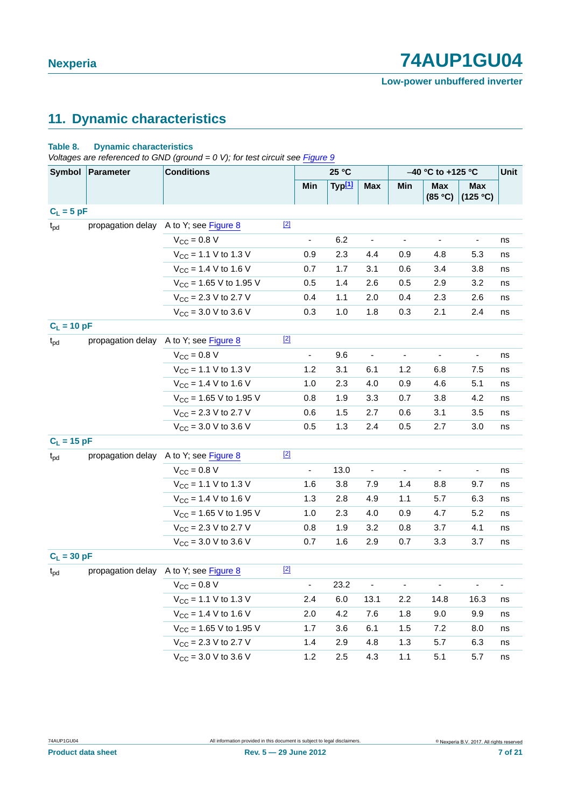# <span id="page-6-0"></span>**11. Dynamic characteristics**

#### **Table 8. Dynamic characteristics**

*Voltages are referenced to GND (ground = 0 V); for test circuit see [Figure 9](#page-8-0)*

| Symbol        | <b>Conditions</b><br>Parameter |                                          |       | 25 °C                    |        |                          | -40 °C to +125 °C        |                          |                          | Unit                    |
|---------------|--------------------------------|------------------------------------------|-------|--------------------------|--------|--------------------------|--------------------------|--------------------------|--------------------------|-------------------------|
|               |                                |                                          |       | Min                      | Typ[1] | <b>Max</b>               | Min                      | <b>Max</b><br>(85 °C)    | Max<br>(125 °C)          |                         |
| $C_L = 5 pF$  |                                |                                          |       |                          |        |                          |                          |                          |                          |                         |
| $t_{pd}$      | propagation delay              | A to Y; see Figure 8                     | $[2]$ |                          |        |                          |                          |                          |                          |                         |
|               |                                | $V_{\text{CC}} = 0.8 V$                  |       | $\blacksquare$           | 6.2    | $\overline{\phantom{a}}$ | $\blacksquare$           | $\blacksquare$           | $\overline{\phantom{a}}$ | ns                      |
|               |                                | $V_{CC}$ = 1.1 V to 1.3 V                |       | 0.9                      | 2.3    | 4.4                      | 0.9                      | 4.8                      | 5.3                      | ns                      |
|               |                                | $V_{CC}$ = 1.4 V to 1.6 V                |       | 0.7                      | 1.7    | 3.1                      | 0.6                      | 3.4                      | 3.8                      | ns                      |
|               |                                | $V_{CC}$ = 1.65 V to 1.95 V              |       | 0.5                      | 1.4    | 2.6                      | 0.5                      | 2.9                      | 3.2                      | ns                      |
|               |                                | $V_{\text{CC}}$ = 2.3 V to 2.7 V         |       | 0.4                      | 1.1    | 2.0                      | 0.4                      | 2.3                      | 2.6                      | ns                      |
|               |                                | $V_{CC}$ = 3.0 V to 3.6 V                |       | 0.3                      | 1.0    | 1.8                      | 0.3                      | 2.1                      | 2.4                      | ns                      |
| $C_L = 10 pF$ |                                |                                          |       |                          |        |                          |                          |                          |                          |                         |
| $t_{pd}$      | propagation delay              | A to Y; see Figure 8                     | $[2]$ |                          |        |                          |                          |                          |                          |                         |
|               |                                | $V_{CC} = 0.8 V$                         |       | $\blacksquare$           | 9.6    | $\blacksquare$           | $\blacksquare$           | $\blacksquare$           | $\overline{\phantom{a}}$ | ns                      |
|               |                                | $V_{CC}$ = 1.1 V to 1.3 V                |       | 1.2                      | 3.1    | 6.1                      | 1.2                      | 6.8                      | 7.5                      | ns                      |
|               |                                | $V_{CC}$ = 1.4 V to 1.6 V                |       | 1.0                      | 2.3    | 4.0                      | 0.9                      | 4.6                      | 5.1                      | ns                      |
|               |                                | $V_{CC}$ = 1.65 V to 1.95 V              |       | 0.8                      | 1.9    | 3.3                      | 0.7                      | 3.8                      | $4.2\,$                  | ns                      |
|               |                                | $V_{CC}$ = 2.3 V to 2.7 V                |       | 0.6                      | 1.5    | 2.7                      | 0.6                      | 3.1                      | 3.5                      | $\operatorname{\sf ns}$ |
|               |                                | $V_{CC}$ = 3.0 V to 3.6 V                |       | 0.5                      | 1.3    | 2.4                      | 0.5                      | 2.7                      | 3.0                      | ns                      |
| $C_L = 15 pF$ |                                |                                          |       |                          |        |                          |                          |                          |                          |                         |
| $t_{\rm pd}$  | propagation delay              | A to Y; see Figure 8                     | $[2]$ |                          |        |                          |                          |                          |                          |                         |
|               |                                | $V_{\text{CC}} = 0.8 V$                  |       | $\frac{1}{2}$            | 13.0   | $\blacksquare$           |                          | $\overline{\phantom{a}}$ | $\overline{a}$           | ns                      |
|               |                                | $V_{CC}$ = 1.1 V to 1.3 V                |       | 1.6                      | 3.8    | 7.9                      | 1.4                      | 8.8                      | 9.7                      | ns                      |
|               |                                | $V_{CC}$ = 1.4 V to 1.6 V                |       | 1.3                      | 2.8    | 4.9                      | 1.1                      | 5.7                      | 6.3                      | ns                      |
|               |                                | $V_{CC}$ = 1.65 V to 1.95 V              |       | 1.0                      | 2.3    | 4.0                      | 0.9                      | 4.7                      | 5.2                      | ns                      |
|               |                                | $V_{CC}$ = 2.3 V to 2.7 V                |       | 0.8                      | 1.9    | 3.2                      | 0.8                      | 3.7                      | 4.1                      | ns                      |
|               |                                | $V_{\text{CC}} = 3.0 \text{ V}$ to 3.6 V |       | 0.7                      | 1.6    | 2.9                      | 0.7                      | 3.3                      | 3.7                      | ns                      |
| $C_L = 30 pF$ |                                |                                          |       |                          |        |                          |                          |                          |                          |                         |
| $t_{pd}$      | propagation delay              | A to Y; see Figure 8                     | $[2]$ |                          |        |                          |                          |                          |                          |                         |
|               |                                | $V_{CC} = 0.8 V$                         |       | $\overline{\phantom{a}}$ | 23.2   | $\overline{\phantom{a}}$ | $\overline{\phantom{a}}$ | $\overline{\phantom{a}}$ | ÷                        | $\blacksquare$          |
|               |                                | $V_{CC}$ = 1.1 V to 1.3 V                |       | 2.4                      | 6.0    | 13.1                     | $2.2\,$                  | 14.8                     | 16.3                     | ns                      |
|               |                                | $V_{CC}$ = 1.4 V to 1.6 V                |       | 2.0                      | 4.2    | 7.6                      | 1.8                      | 9.0                      | 9.9                      | ns                      |
|               |                                | $V_{CC}$ = 1.65 V to 1.95 V              |       | 1.7                      | 3.6    | 6.1                      | 1.5                      | 7.2                      | 8.0                      | ns                      |
|               |                                | $V_{CC}$ = 2.3 V to 2.7 V                |       | 1.4                      | 2.9    | 4.8                      | 1.3                      | 5.7                      | 6.3                      | ns                      |
|               |                                | $V_{CC}$ = 3.0 V to 3.6 V                |       | 1.2                      | 2.5    | 4.3                      | 1.1                      | 5.1                      | 5.7                      | ns                      |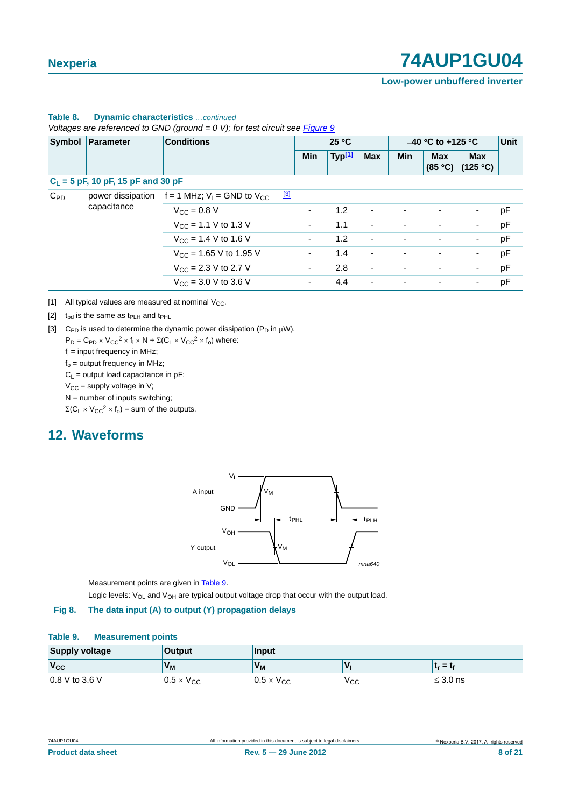#### **Low-power unbuffered inverter**

|               |                                      | Voltages are referenced to GND (ground = 0 V); for test circuit see Figure 9 |                          |                    |                          |                     |                          |                          |      |
|---------------|--------------------------------------|------------------------------------------------------------------------------|--------------------------|--------------------|--------------------------|---------------------|--------------------------|--------------------------|------|
| <b>Symbol</b> | Parameter                            | <b>Conditions</b>                                                            | 25 °C                    |                    |                          | $-40$ °C to +125 °C |                          |                          | Unit |
|               |                                      |                                                                              | <b>Min</b>               | Typ <sup>[1]</sup> | <b>Max</b>               | <b>Min</b>          | <b>Max</b><br>(85 °C)    | <b>Max</b><br>(125 °C)   |      |
|               | $C_L$ = 5 pF, 10 pF, 15 pF and 30 pF |                                                                              |                          |                    |                          |                     |                          |                          |      |
| $C_{PD}$      | power dissipation                    | $\boxed{3}$<br>f = 1 MHz; $V_1$ = GND to $V_{CC}$                            |                          |                    |                          |                     |                          |                          |      |
|               | capacitance                          | $V_{\rm CC} = 0.8 V$                                                         |                          | 1.2                | $\overline{\phantom{a}}$ |                     |                          | $\overline{\phantom{a}}$ | рF   |
|               |                                      | $V_{\rm CC}$ = 1.1 V to 1.3 V                                                | $\overline{\phantom{a}}$ | 1.1                | $\overline{\phantom{a}}$ |                     | $\overline{\phantom{a}}$ | $\overline{\phantom{a}}$ | pF   |
|               |                                      | $V_{CC}$ = 1.4 V to 1.6 V                                                    | $\overline{\phantom{a}}$ | 1.2                | $\overline{\phantom{a}}$ |                     |                          | $\blacksquare$           | pF   |
|               |                                      | $V_{CC}$ = 1.65 V to 1.95 V                                                  | ۰.                       | 1.4                | $\overline{\phantom{a}}$ |                     | ٠                        | $\overline{\phantom{a}}$ | pF   |
|               |                                      | $V_{CC}$ = 2.3 V to 2.7 V                                                    | $\overline{\phantom{a}}$ | 2.8                | $\blacksquare$           |                     | $\overline{\phantom{a}}$ | $\overline{\phantom{a}}$ | pF   |
|               |                                      | $V_{\text{CC}} = 3.0 \text{ V}$ to 3.6 V                                     | ۰.                       | 4.4                | $\overline{\phantom{a}}$ |                     | $\overline{\phantom{0}}$ | ۰.                       | pF   |

### **Table 8. Dynamic characteristics** *…continued*

*Voltages are referenced to GND (ground = 0 V); for test circuit see Figure 9*

<span id="page-7-0"></span>[1] All typical values are measured at nominal  $V_{CC}$ .

#### <span id="page-7-2"></span>[2]  $t_{pd}$  is the same as  $t_{PLH}$  and  $t_{PHL}$

<span id="page-7-3"></span>[3] C<sub>PD</sub> is used to determine the dynamic power dissipation ( $P_D$  in  $\mu$ W).

 $P_D = C_{PD} \times V_{CC}^2 \times f_i \times N + \Sigma (C_L \times V_{CC}^2 \times f_o)$  where:

 $f_i$  = input frequency in MHz;

 $f_0$  = output frequency in MHz;

 $C_L$  = output load capacitance in pF;

 $V_{CC}$  = supply voltage in V;

 $N =$  number of inputs switching;

 $\Sigma(C_L \times V_{CC}^2 \times f_0)$  = sum of the outputs.

### <span id="page-7-5"></span>**12. Waveforms**



#### <span id="page-7-4"></span><span id="page-7-1"></span>**Table 9. Measurement points**

| <b>Supply voltage</b> | <b>Output</b>       | <b>Input</b>        |     |               |  |  |  |
|-----------------------|---------------------|---------------------|-----|---------------|--|--|--|
| $V_{CC}$              | V <sub>M</sub>      | $V_M$               |     | $t_r = t_f$   |  |  |  |
| 0.8 V to 3.6 V        | $0.5 \times V_{CC}$ | $0.5 \times V_{CC}$ | Vcc | $\leq$ 3.0 ns |  |  |  |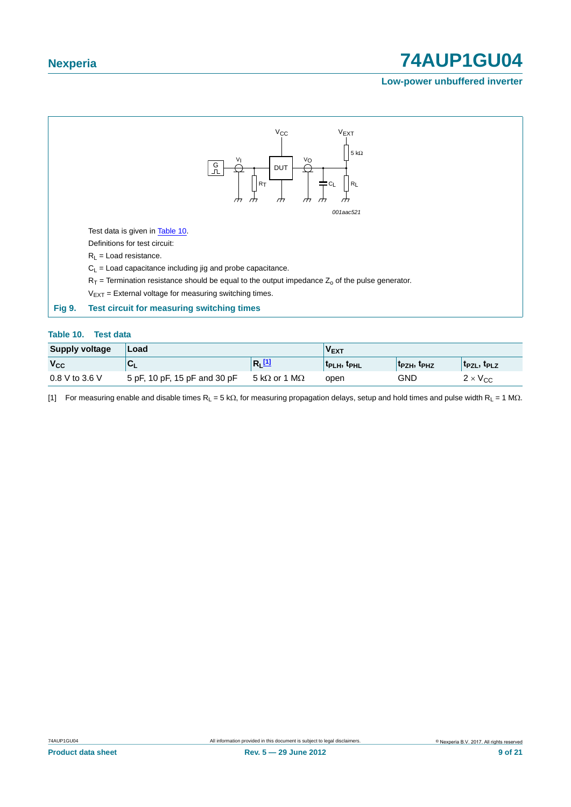#### **Low-power unbuffered inverter**



#### <span id="page-8-1"></span><span id="page-8-0"></span>**Table 10. Test data**

| <b>Supply voltage</b> | Load                         |                              | $V_{EXT}$         |                                     |                                     |
|-----------------------|------------------------------|------------------------------|-------------------|-------------------------------------|-------------------------------------|
| $V_{\rm CC}$          |                              | $ R_1$ $11$                  | <b>TPLH, TPHL</b> | t <sub>PZH</sub> , t <sub>PHZ</sub> | t <sub>PZL</sub> , t <sub>PLZ</sub> |
| 0.8 V to 3.6 V        | 5 pF, 10 pF, 15 pF and 30 pF | 5 k $\Omega$ or 1 M $\Omega$ | open              | GND                                 | $2 \times V_{CC}$                   |

<span id="page-8-2"></span>[1] For measuring enable and disable times  $R_L = 5 k\Omega$ , for measuring propagation delays, setup and hold times and pulse width  $R_L = 1 M\Omega$ .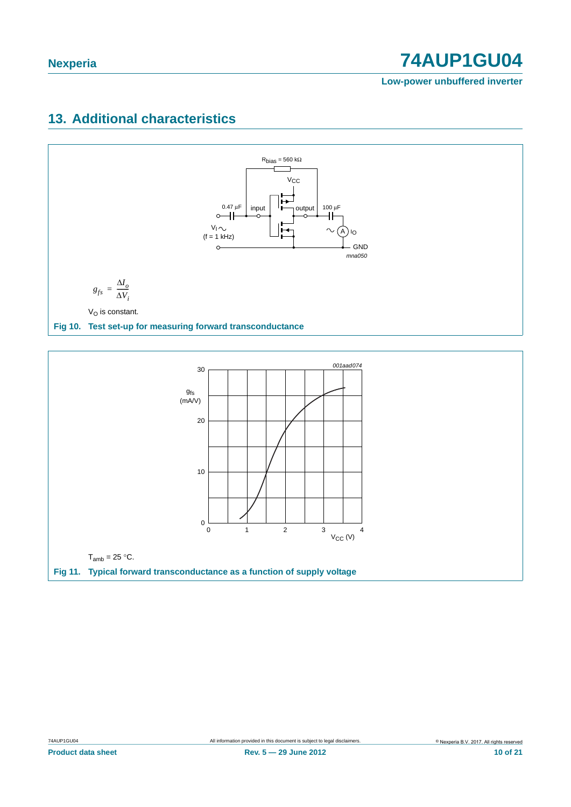**Low-power unbuffered inverter**

# <span id="page-9-0"></span>**13. Additional characteristics**



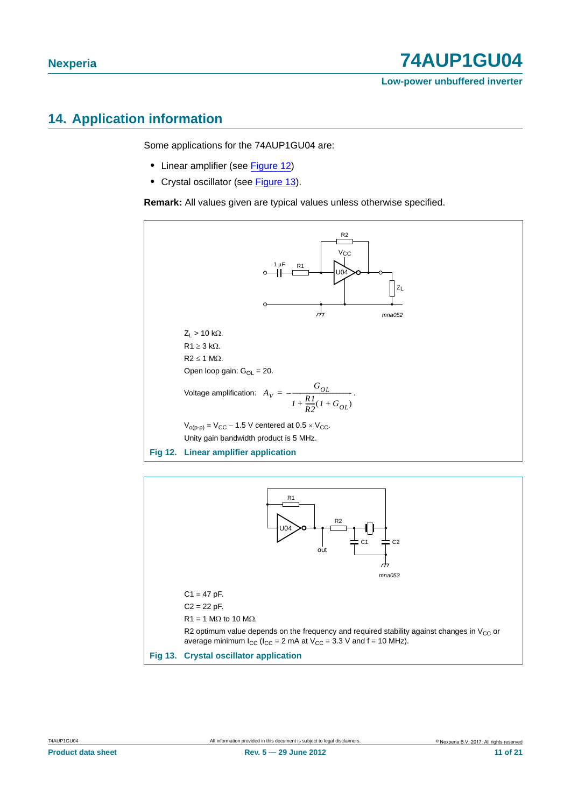# <span id="page-10-2"></span>**14. Application information**

Some applications for the 74AUP1GU04 are:

- **•** Linear amplifier (see [Figure 12\)](#page-10-0)
- **•** Crystal oscillator (see [Figure 13](#page-10-1)).

**Remark:** All values given are typical values unless otherwise specified.



<span id="page-10-1"></span><span id="page-10-0"></span>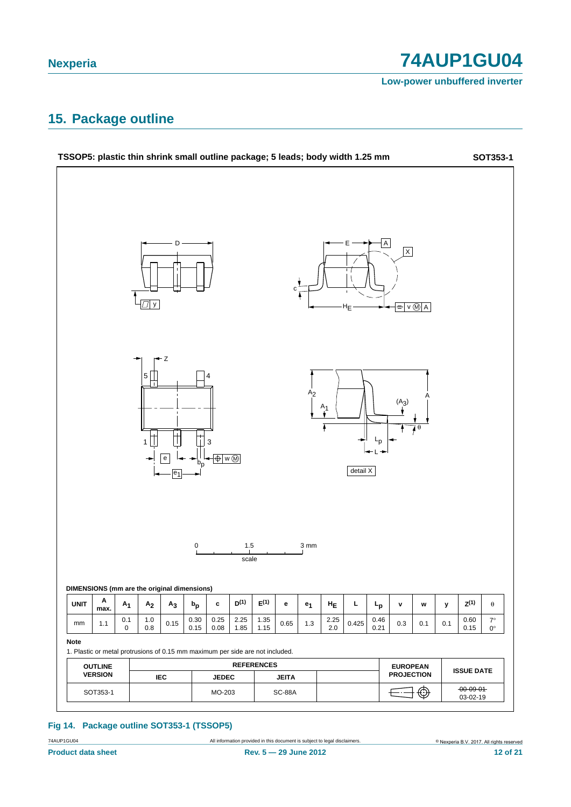**Low-power unbuffered inverter**

### <span id="page-11-0"></span>**15. Package outline**



#### **Fig 14. Package outline SOT353-1 (TSSOP5)**

74AUP1GU04 All information provided in this document is subject to legal disclaimers.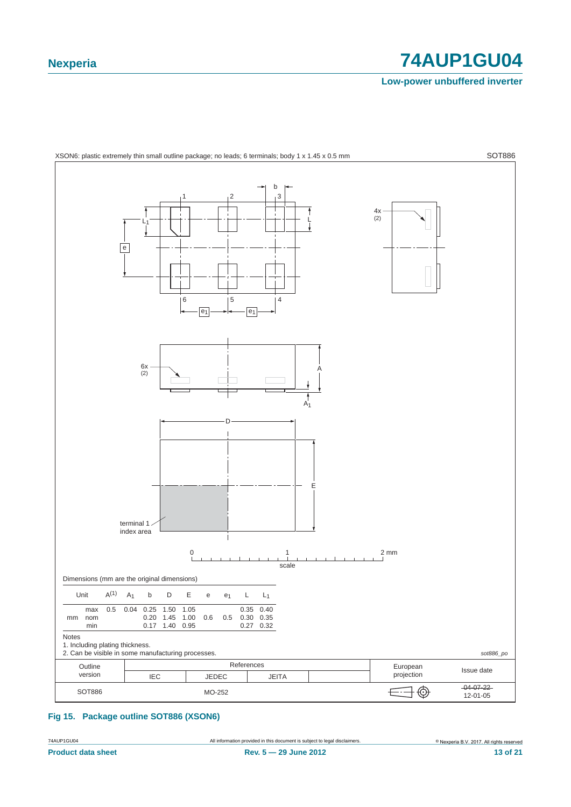**Low-power unbuffered inverter**



<span id="page-12-0"></span>**Fig 15. Package outline SOT886 (XSON6)**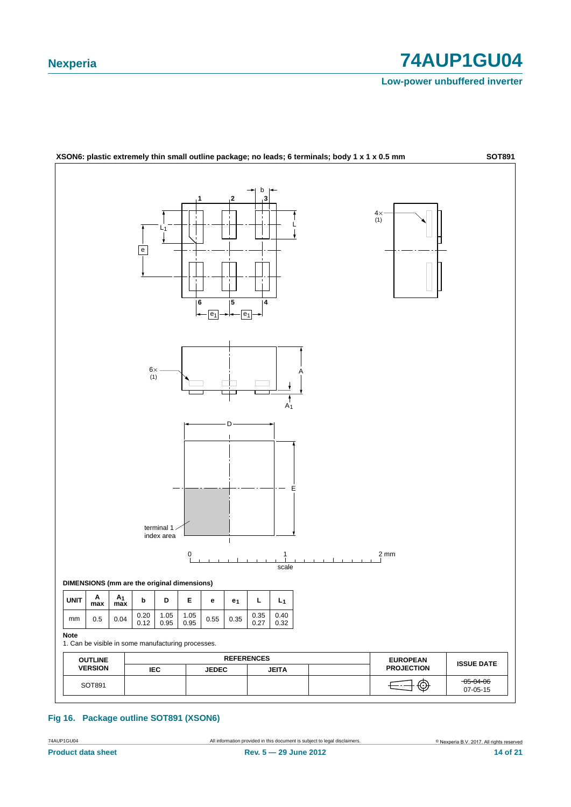**Low-power unbuffered inverter**



**Fig 16. Package outline SOT891 (XSON6)**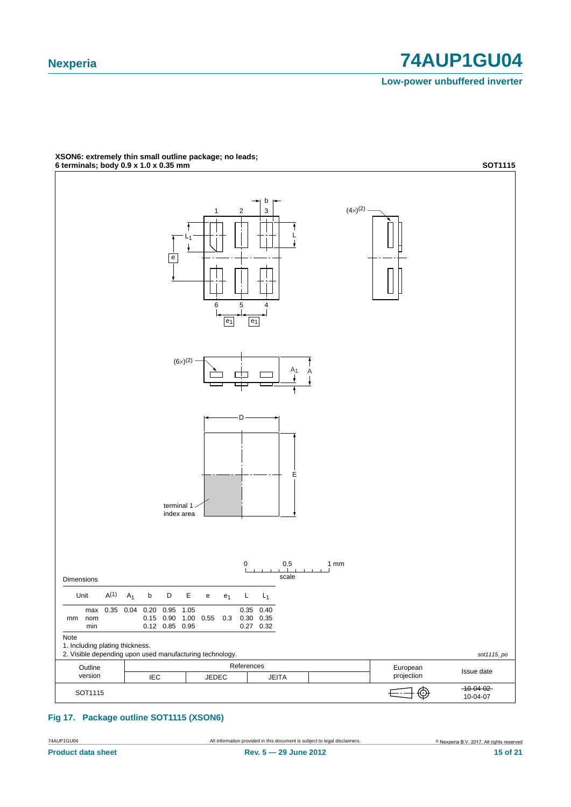**Low-power unbuffered inverter**



### **XSON6: extremely thin small outline package; no leads;**

**Fig 17. Package outline SOT1115 (XSON6)**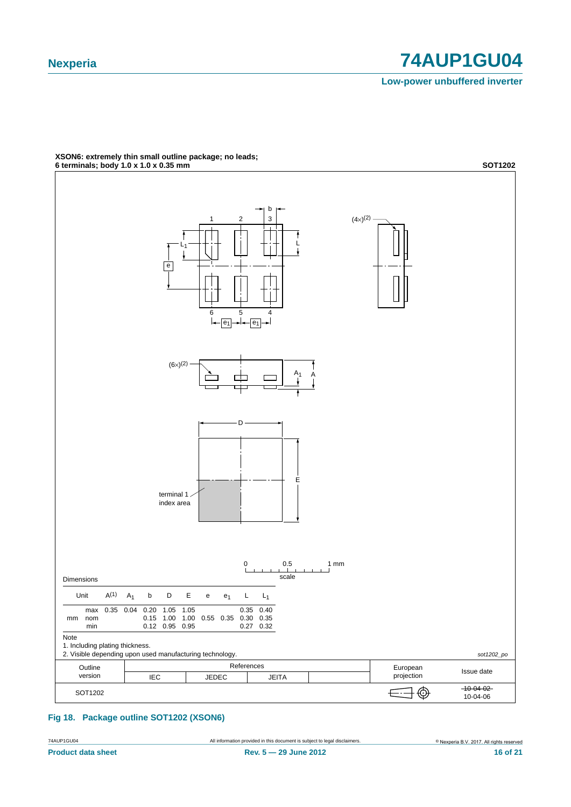**Low-power unbuffered inverter**



### **XSON6: extremely thin small outline package; no leads;**

**Fig 18. Package outline SOT1202 (XSON6)**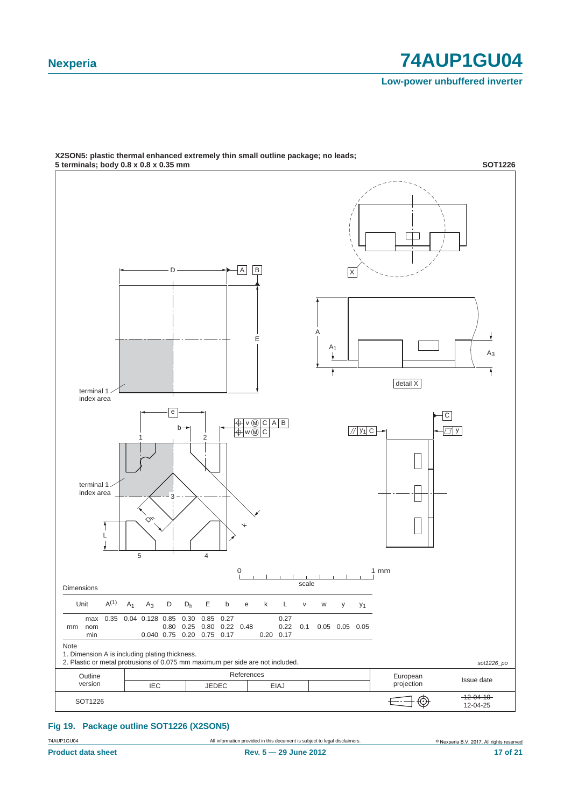**Low-power unbuffered inverter**



### **X2SON5: plastic thermal enhanced extremely thin small outline package; no leads;**

#### **Fig 19. Package outline SOT1226 (X2SON5)**

74AUP1GU04 All information provided in this document is subject to legal disclaimers.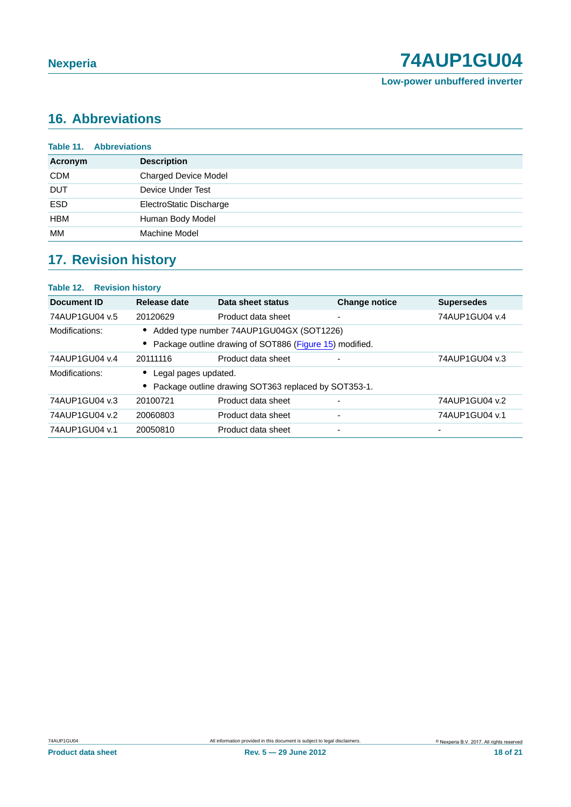**Low-power unbuffered inverter**

# <span id="page-17-0"></span>**16. Abbreviations**

| <b>Table 11. Abbreviations</b> |                             |  |
|--------------------------------|-----------------------------|--|
| <b>Acronym</b>                 | <b>Description</b>          |  |
| <b>CDM</b>                     | <b>Charged Device Model</b> |  |
| <b>DUT</b>                     | Device Under Test           |  |
| <b>ESD</b>                     | ElectroStatic Discharge     |  |
| <b>HBM</b>                     | Human Body Model            |  |
| МM                             | Machine Model               |  |

# <span id="page-17-1"></span>**17. Revision history**

| <b>Table 12. Revision history</b> |                      |                                                         |                      |                   |
|-----------------------------------|----------------------|---------------------------------------------------------|----------------------|-------------------|
| Document ID                       | Release date         | Data sheet status                                       | <b>Change notice</b> | <b>Supersedes</b> |
| 74AUP1GU04 v.5                    | 20120629             | Product data sheet                                      |                      | 74AUP1GU04 v.4    |
| Modifications:                    |                      | Added type number 74AUP1GU04GX (SOT1226)                |                      |                   |
|                                   |                      | Package outline drawing of SOT886 (Figure 15) modified. |                      |                   |
| 74AUP1GU04 v.4                    | 20111116             | Product data sheet                                      |                      | 74AUP1GU04 v.3    |
| Modifications:                    | Legal pages updated. |                                                         |                      |                   |
|                                   |                      | Package outline drawing SOT363 replaced by SOT353-1.    |                      |                   |
| 74AUP1GU04 v.3                    | 20100721             | Product data sheet                                      |                      | 74AUP1GU04 v.2    |
| 74AUP1GU04 v.2                    | 20060803             | Product data sheet                                      |                      | 74AUP1GU04 v.1    |
| 74AUP1GU04 v.1                    | 20050810             | Product data sheet                                      |                      |                   |
|                                   |                      |                                                         |                      |                   |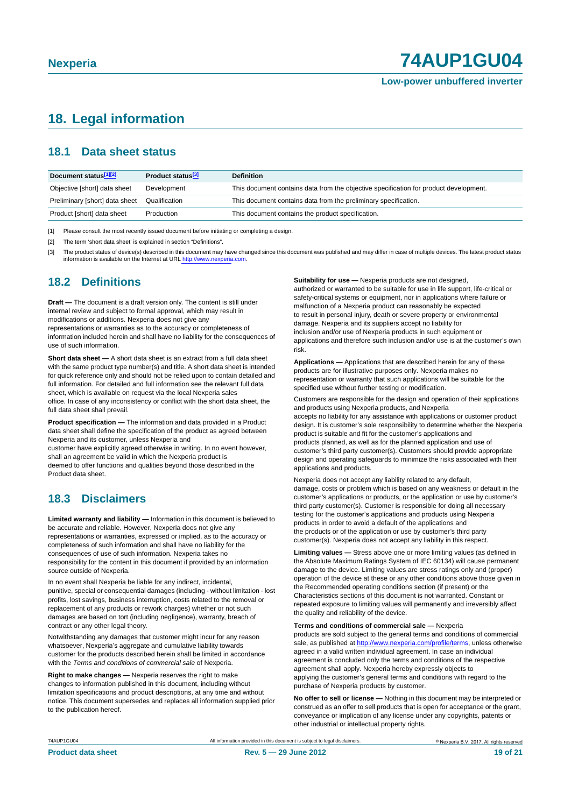### <span id="page-18-0"></span>**18. Legal information**

### <span id="page-18-1"></span>**18.1 Data sheet status**

| Document status[1][2]          | Product status <sup>[3]</sup> | <b>Definition</b>                                                                     |
|--------------------------------|-------------------------------|---------------------------------------------------------------------------------------|
| Objective [short] data sheet   | Development                   | This document contains data from the objective specification for product development. |
| Preliminary [short] data sheet | Qualification                 | This document contains data from the preliminary specification.                       |
| Product [short] data sheet     | Production                    | This document contains the product specification.                                     |

[1] Please consult the most recently issued document before initiating or completing a design.

[2] The term 'short data sheet' is explained in section "Definitions".

[3] The product status of device(s) described in this document may have changed since this document was published and may differ in case of multiple devices. The latest product status<br>information is available on the Intern

### <span id="page-18-2"></span>**18.2 Definitions**

**Draft —** The document is a draft version only. The content is still under internal review and subject to formal approval, which may result in modifications or additions. Nexperia does not give any

representations or warranties as to the accuracy or completeness of information included herein and shall have no liability for the consequences of use of such information.

**Short data sheet —** A short data sheet is an extract from a full data sheet with the same product type number(s) and title. A short data sheet is intended for quick reference only and should not be relied upon to contain detailed and full information. For detailed and full information see the relevant full data sheet, which is available on request via the local Nexperia sales office. In case of any inconsistency or conflict with the short data sheet, the full data sheet shall prevail.

**Product specification —** The information and data provided in a Product data sheet shall define the specification of the product as agreed between Nexperia and its customer, unless Nexperia and

customer have explicitly agreed otherwise in writing. In no event however, shall an agreement be valid in which the Nexperia product is deemed to offer functions and qualities beyond those described in the Product data sheet.

### <span id="page-18-3"></span>**18.3 Disclaimers**

**Limited warranty and liability —** Information in this document is believed to be accurate and reliable. However, Nexperia does not give any representations or warranties, expressed or implied, as to the accuracy or completeness of such information and shall have no liability for the consequences of use of such information. Nexperia takes no responsibility for the content in this document if provided by an information source outside of Nexperia.

In no event shall Nexperia be liable for any indirect, incidental, punitive, special or consequential damages (including - without limitation - lost profits, lost savings, business interruption, costs related to the removal or replacement of any products or rework charges) whether or not such damages are based on tort (including negligence), warranty, breach of contract or any other legal theory.

Notwithstanding any damages that customer might incur for any reason whatsoever, Nexperia's aggregate and cumulative liability towards customer for the products described herein shall be limited in accordance with the *Terms and conditions of commercial sale* of Nexperia.

**Right to make changes —** Nexperia reserves the right to make changes to information published in this document, including without limitation specifications and product descriptions, at any time and without notice. This document supersedes and replaces all information supplied prior to the publication hereof.

**Suitability for use - Nexperia products are not designed** authorized or warranted to be suitable for use in life support, life-critical or safety-critical systems or equipment, nor in applications where failure or malfunction of a Nexperia product can reasonably be expected to result in personal injury, death or severe property or environmental damage. Nexperia and its suppliers accept no liability for inclusion and/or use of Nexperia products in such equipment or applications and therefore such inclusion and/or use is at the customer's own risk.

**Applications —** Applications that are described herein for any of these products are for illustrative purposes only. Nexperia makes no representation or warranty that such applications will be suitable for the specified use without further testing or modification.

Customers are responsible for the design and operation of their applications and products using Nexperia products, and Nexperia accepts no liability for any assistance with applications or customer product design. It is customer's sole responsibility to determine whether the Nexperia product is suitable and fit for the customer's applications and products planned, as well as for the planned application and use of customer's third party customer(s). Customers should provide appropriate design and operating safeguards to minimize the risks associated with their applications and products.

Nexperia does not accept any liability related to any default, damage, costs or problem which is based on any weakness or default in the customer's applications or products, or the application or use by customer's third party customer(s). Customer is responsible for doing all necessary testing for the customer's applications and products using Nexperia products in order to avoid a default of the applications and the products or of the application or use by customer's third party customer(s). Nexperia does not accept any liability in this respect.

**Limiting values —** Stress above one or more limiting values (as defined in the Absolute Maximum Ratings System of IEC 60134) will cause permanent damage to the device. Limiting values are stress ratings only and (proper) operation of the device at these or any other conditions above those given in the Recommended operating conditions section (if present) or the Characteristics sections of this document is not warranted. Constant or repeated exposure to limiting values will permanently and irreversibly affect the quality and reliability of the device.

**Terms and conditions of commercial sale —** Nexperia

products are sold subject to the general terms and conditions of commercial sale, as published at [http://www.nexperia.com/profile/te](http://www.nexperia.com/profile/terms)rms, unless otherwise agreed in a valid written individual agreement. In case an individual agreement is concluded only the terms and conditions of the respective agreement shall apply. Nexperia hereby expressly objects to applying the customer's general terms and conditions with regard to the purchase of Nexperia products by customer.

**No offer to sell or license —** Nothing in this document may be interpreted or construed as an offer to sell products that is open for acceptance or the grant, conveyance or implication of any license under any copyrights, patents or other industrial or intellectual property rights.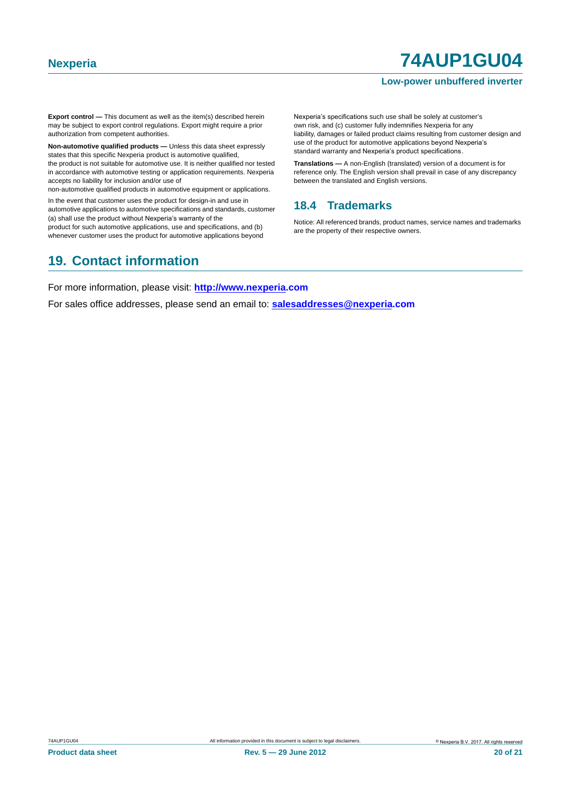#### **Low-power unbuffered inverter**

**Export control —** This document as well as the item(s) described herein may be subject to export control regulations. Export might require a prior authorization from competent authorities.

**Non-automotive qualified products —** Unless this data sheet expressly states that this specific Nexperia product is automotive qualified, the product is not suitable for automotive use. It is neither qualified nor tested in accordance with automotive testing or application requirements. Nexperia accepts no liability for inclusion and/or use of

non-automotive qualified products in automotive equipment or applications.

In the event that customer uses the product for design-in and use in automotive applications to automotive specifications and standards, customer (a) shall use the product without Nexperia's warranty of the

product for such automotive applications, use and specifications, and (b) whenever customer uses the product for automotive applications beyond Nexperia's specifications such use shall be solely at customer's own risk, and (c) customer fully indemnifies Nexperia for any liability, damages or failed product claims resulting from customer design and use of the product for automotive applications beyond Nexperia's standard warranty and Nexperia's product specifications.

**Translations —** A non-English (translated) version of a document is for reference only. The English version shall prevail in case of any discrepancy between the translated and English versions.

#### <span id="page-19-0"></span>**18.4 Trademarks**

Notice: All referenced brands, product names, service names and trademarks are the property of their respective owners.

### <span id="page-19-1"></span>**19. Contact information**

For more information, please visit: **http://www.nexperia.com**

For sales office addresses, please send an email to: **salesaddresses@nexperia.com**